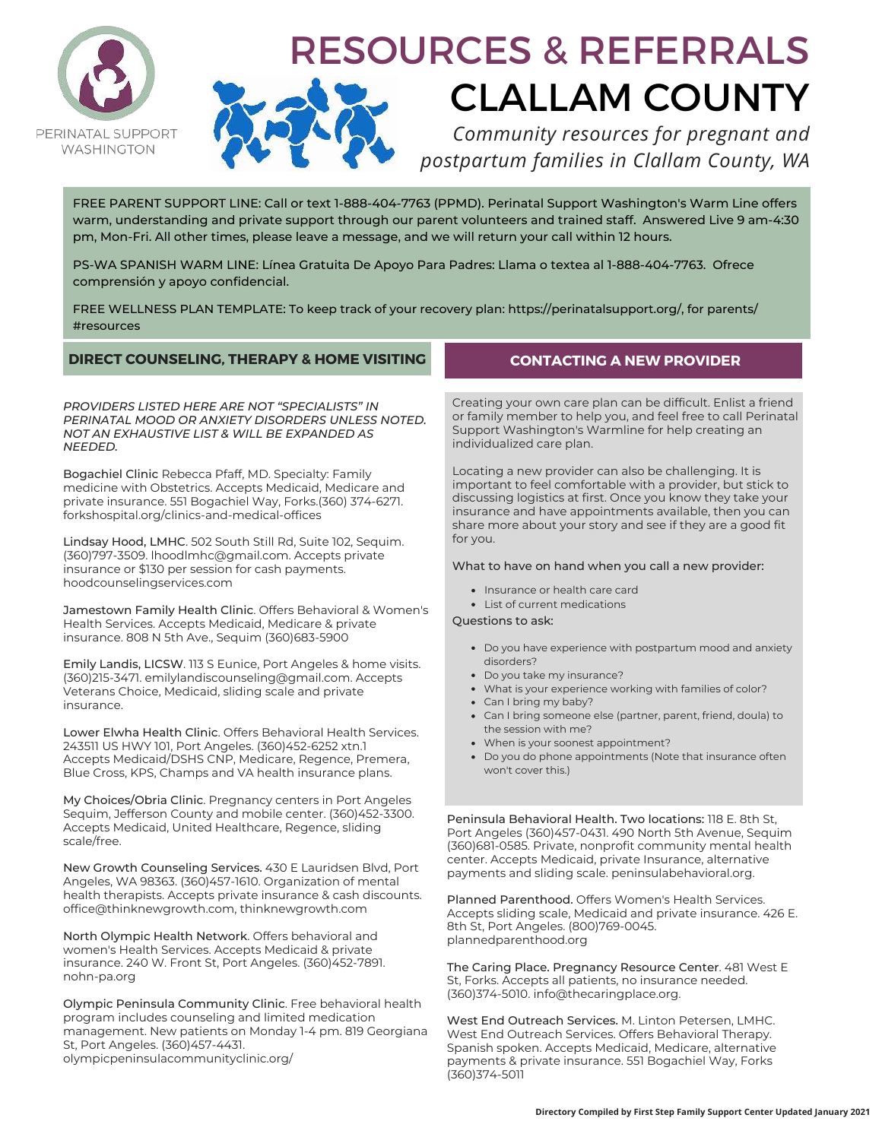

# RESOURCES & REFERRALS CLALLAM COUNTY

*Community resources for pregnant and postpartum families in Clallam County, WA*

FREE PARENT SUPPORT LINE: Call or text 1-888-404-7763 (PPMD). Perinatal Support Washington's Warm Line offers warm, understanding and private support through our parent volunteers and trained staff. Answered Live 9 am-4:30 pm, Mon-Fri. All other times, please leave a message, and we will return your call within 12 hours.

PS-WA SPANISH WARM LINE: Línea Gratuita De Apoyo Para Padres: Llama o textea al 1-888-404-7763. Ofrece comprensión y apoyo confidencial.

FREE WELLNESS PLAN TEMPLATE: To keep track of your recovery plan: https://perinatalsupport.org/, for parents/ #resources

# **DIRECT COUNSELING, THERAPY & HOME VISITING**

*PROVIDERS LISTED HERE ARE NOT "SPECIALISTS" IN PERINATAL MOOD OR ANXIETY DISORDERS UNLESS NOTED. NOT AN EXHAUSTIVE LIST & WILL BE EXPANDED AS NEEDED.* 

Bogachiel Clinic Rebecca Pfaff, MD. Specialty: Family medicine with Obstetrics. Accepts Medicaid, Medicare and private insurance. 551 Bogachiel Way, Forks.(360) 374-6271. forkshospital.org/clinics-and-medical-offices

Lindsay Hood, LMHC. 502 South Still Rd, Suite 102, Sequim. (360)797-3509. lhoodlmhc@gmail.com. Accepts private insurance or \$130 per session for cash payments. hoodcounselingservices.com

Jamestown Family Health Clinic. Offers Behavioral & Women's Health Services. Accepts Medicaid, Medicare & private insurance. 808 N 5th Ave., Sequim (360)683-5900

Emily Landis, LICSW. 113 S Eunice, Port Angeles & home visits. (360)215-3471. emilylandiscounseling@gmail.com. Accepts Veterans Choice, Medicaid, sliding scale and private insurance.

Lower Elwha Health Clinic. Offers Behavioral Health Services. 243511 US HWY 101, Port Angeles. (360)452-6252 xtn.1 Accepts Medicaid/DSHS CNP, Medicare, Regence, Premera, Blue Cross, KPS, Champs and VA health insurance plans.

My Choices/Obria Clinic. Pregnancy centers in Port Angeles Sequim, Jefferson County and mobile center. (360)452-3300. Accepts Medicaid, United Healthcare, Regence, sliding scale/free.

New Growth Counseling Services. 430 E Lauridsen Blvd, Port Angeles, WA 98363. (360)457-1610. Organization of mental health therapists. Accepts private insurance & cash discounts. office@thinknewgrowth.com, thinknewgrowth.com

North Olympic Health Network. Offers behavioral and women's Health Services. Accepts Medicaid & private insurance. 240 W. Front St, Port Angeles. (360)452-7891. nohn-pa.org

Olympic Peninsula Community Clinic. Free behavioral health program includes counseling and limited medication management. New patients on Monday 1-4 pm. 819 Georgiana St, Port Angeles. (360)457-4431. olympicpeninsulacommunityclinic.org/

# **CONTACTING A NEW PROVIDER**

Creating your own care plan can be difficult. Enlist a friend or family member to help you, and feel free to call Perinatal Support Washington's Warmline for help creating an individualized care plan.

Locating a new provider can also be challenging. It is important to feel comfortable with a provider, but stick to discussing logistics at first. Once you know they take your insurance and have appointments available, then you can share more about your story and see if they are a good fit for you.

What to have on hand when you call a new provider:

- Insurance or health care card
- List of current medications

Questions to ask:

- Do you have experience with postpartum mood and anxiety disorders?
- Do you take my insurance?
- What is your experience working with families of color?
- Can I bring my baby?
- Can I bring someone else (partner, parent, friend, doula) to the session with me?
- When is your soonest appointment?
- Do you do phone appointments (Note that insurance often won't cover this.)

Peninsula Behavioral Health. Two locations: 118 E. 8th St, Port Angeles (360)457-0431. 490 North 5th Avenue, Sequim (360)681-0585. Private, nonprofit community mental health center. Accepts Medicaid, private Insurance, alternative payments and sliding scale. peninsulabehavioral.org.

Planned Parenthood. Offers Women's Health Services. Accepts sliding scale, Medicaid and private insurance. 426 E. 8th St, Port Angeles. (800)769-0045. plannedparenthood.org

The Caring Place. Pregnancy Resource Center. 481 West E St, Forks. Accepts all patients, no insurance needed. (360)374-5010. info@thecaringplace.org.

West End Outreach Services. M. Linton Petersen, LMHC. West End Outreach Services. Offers Behavioral Therapy. Spanish spoken. Accepts Medicaid, Medicare, alternative payments & private insurance. 551 Bogachiel Way, Forks (360)374-5011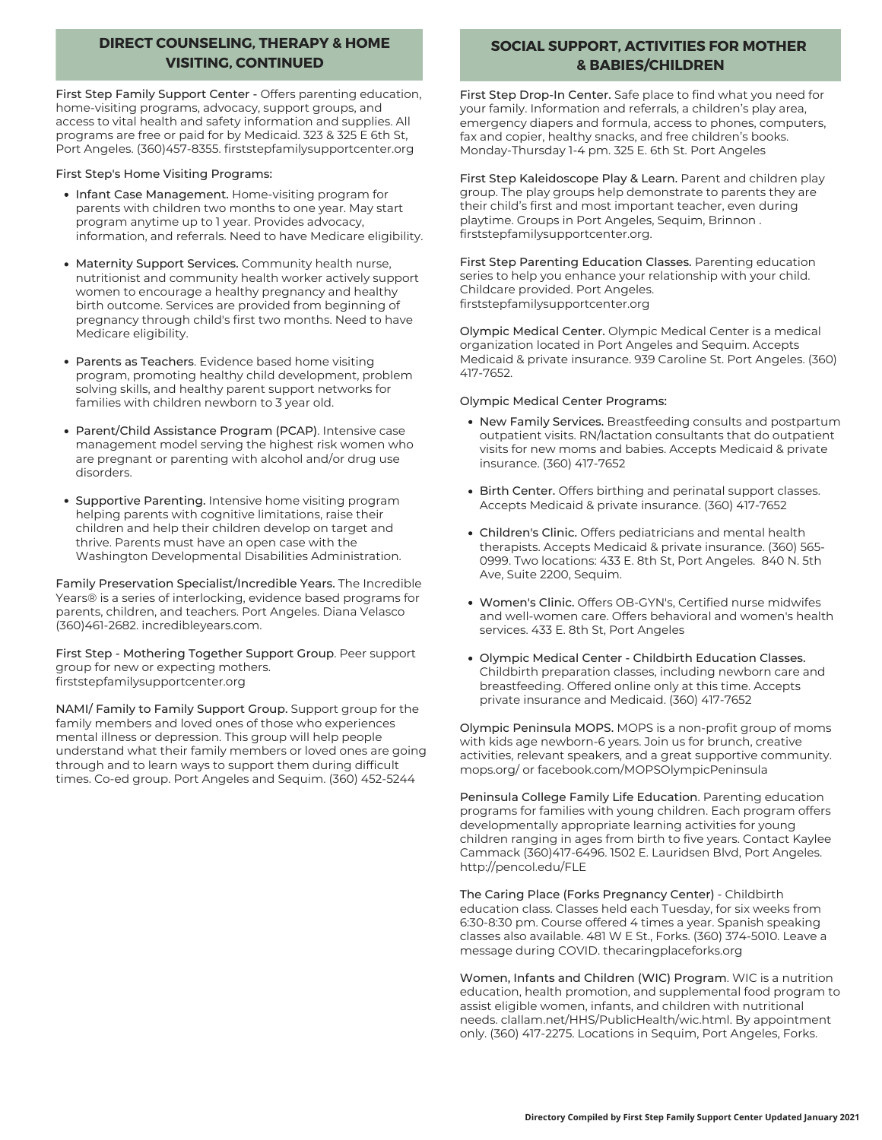# **DIRECT COUNSELING, THERAPY & HOME VISITING, CONTINUED**

First Step Family Support Center - Offers parenting education, home-visiting programs, advocacy, support groups, and access to vital health and safety information and supplies. All programs are free or paid for by Medicaid. 323 & 325 E 6th St, Port Angeles. (360)457-8355. firststepfamilysupportcenter.org

First Step's Home Visiting Programs:

- Infant Case Management. Home-visiting program for parents with children two months to one year. May start program anytime up to 1 year. Provides advocacy, information, and referrals. Need to have Medicare eligibility.
- Maternity Support Services. Community health nurse, nutritionist and community health worker actively support women to encourage a healthy pregnancy and healthy birth outcome. Services are provided from beginning of pregnancy through child's first two months. Need to have Medicare eligibility.
- Parents as Teachers. Evidence based home visiting program, promoting healthy child development, problem solving skills, and healthy parent support networks for families with children newborn to 3 year old.
- Parent/Child Assistance Program (PCAP). Intensive case management model serving the highest risk women who are pregnant or parenting with alcohol and/or drug use disorders.
- Supportive Parenting. Intensive home visiting program helping parents with cognitive limitations, raise their children and help their children develop on target and thrive. Parents must have an open case with the Washington Developmental Disabilities Administration.

Family Preservation Specialist/Incredible Years. The Incredible Years® is a series of interlocking, evidence based programs for parents, children, and teachers. Port Angeles. Diana Velasco (360)461-2682. incredibleyears.com.

First Step - Mothering Together Support Group. Peer support group for new or expecting mothers. firststepfamilysupportcenter.org

NAMI/ Family to Family Support Group. Support group for the family members and loved ones of those who experiences mental illness or depression. This group will help people understand what their family members or loved ones are going through and to learn ways to support them during difficult times. Co-ed group. Port Angeles and Sequim. (360) 452-5244

# **SOCIAL SUPPORT, ACTIVITIES FOR MOTHER & BABIES/CHILDREN**

First Step Drop-In Center. Safe place to find what you need for your family. Information and referrals, a children's play area, emergency diapers and formula, access to phones, computers, fax and copier, healthy snacks, and free children's books. Monday-Thursday 1-4 pm. 325 E. 6th St. Port Angeles

First Step Kaleidoscope Play & Learn. Parent and children play group. The play groups help demonstrate to parents they are their child's first and most important teacher, even during playtime. Groups in Port Angeles, Sequim, Brinnon . firststepfamilysupportcenter.org.

First Step Parenting Education Classes. Parenting education series to help you enhance your relationship with your child. Childcare provided. Port Angeles. firststepfamilysupportcenter.org

Olympic Medical Center. Olympic Medical Center is a medical organization located in Port Angeles and Sequim. Accepts Medicaid & private insurance. 939 Caroline St. Port Angeles. (360) 417-7652.

#### Olympic Medical Center Programs:

- New Family Services. Breastfeeding consults and postpartum outpatient visits. RN/lactation consultants that do outpatient visits for new moms and babies. Accepts Medicaid & private insurance. (360) 417-7652
- Birth Center. Offers birthing and perinatal support classes. Accepts Medicaid & private insurance. (360) 417-7652
- Children's Clinic. Offers pediatricians and mental health therapists. Accepts Medicaid & private insurance. (360) 565- 0999. Two locations: 433 E. 8th St, Port Angeles. 840 N. 5th Ave, Suite 2200, Sequim.
- Women's Clinic. Offers OB-GYN's, Certified nurse midwifes and well-women care. Offers behavioral and women's health services. 433 E. 8th St, Port Angeles
- Olympic Medical Center Childbirth Education Classes. Childbirth preparation classes, including newborn care and breastfeeding. Offered online only at this time. Accepts private insurance and Medicaid. (360) 417-7652

Olympic Peninsula MOPS. MOPS is a non-profit group of moms with kids age newborn-6 years. Join us for brunch, creative activities, relevant speakers, and a great supportive community. mops.org/ or facebook.com/MOPSOlympicPeninsula

Peninsula College Family Life Education. Parenting education programs for families with young children. Each program offers developmentally appropriate learning activities for young children ranging in ages from birth to five years. Contact Kaylee Cammack (360)417-6496. 1502 E. Lauridsen Blvd, Port Angeles. http://pencol.edu/FLE

The Caring Place (Forks Pregnancy Center) - Childbirth education class. Classes held each Tuesday, for six weeks from 6:30-8:30 pm. Course offered 4 times a year. Spanish speaking classes also available. 481 W E St., Forks. (360) 374-5010. Leave a message during COVID. thecaringplaceforks.org

Women, Infants and Children (WIC) Program. WIC is a nutrition education, health promotion, and supplemental food program to assist eligible women, infants, and children with nutritional needs. clallam.net/HHS/PublicHealth/wic.html. By appointment only. (360) 417-2275. Locations in Sequim, Port Angeles, Forks.